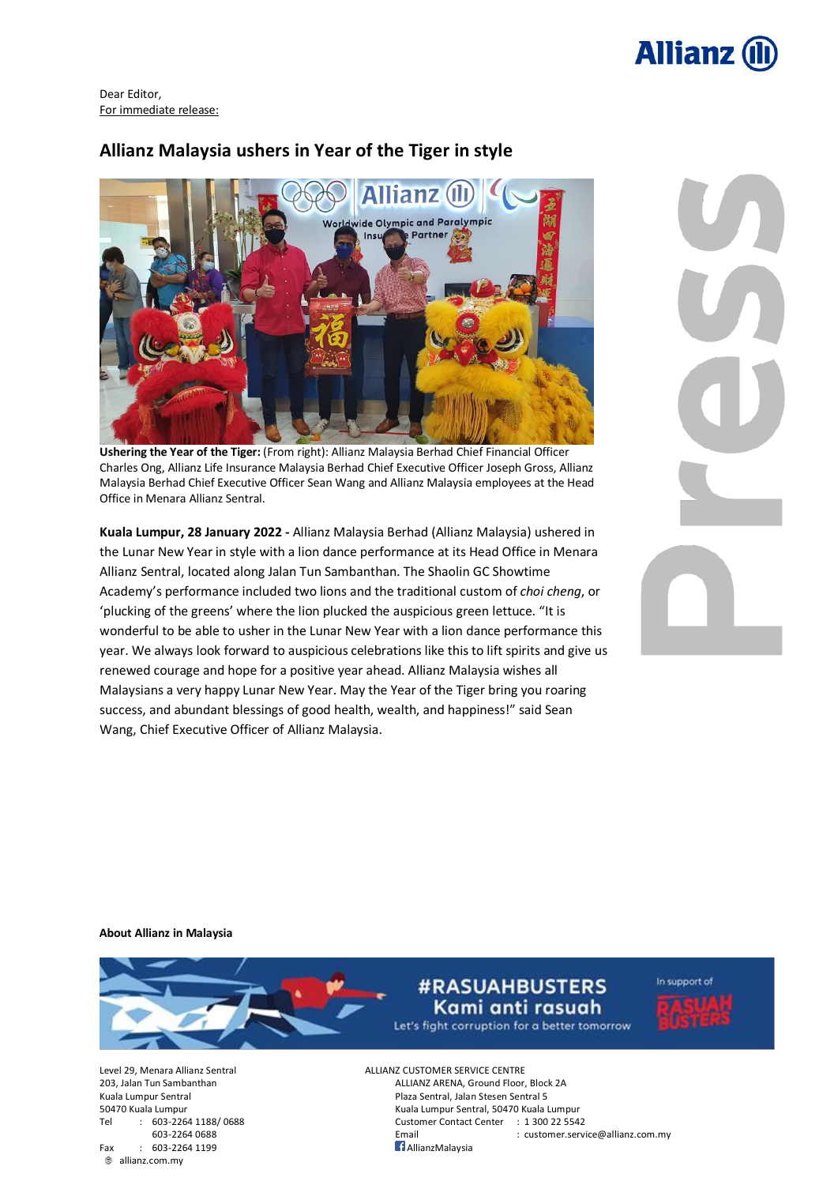

Dear Editor, For immediate release:

## **Allianz Malaysia ushers in Year of the Tiger in style**



**Ushering the Year of the Tiger:** (From right): Allianz Malaysia Berhad Chief Financial Officer Charles Ong, Allianz Life Insurance Malaysia Berhad Chief Executive Officer Joseph Gross, Allianz Malaysia Berhad Chief Executive Officer Sean Wang and Allianz Malaysia employees at the Head Office in Menara Allianz Sentral.

**Kuala Lumpur, 28 January 2022 -** Allianz Malaysia Berhad (Allianz Malaysia) ushered in the Lunar New Year in style with a lion dance performance at its Head Office in Menara Allianz Sentral, located along Jalan Tun Sambanthan. The Shaolin GC Showtime Academy's performance included two lions and the traditional custom of *choi cheng*, or 'plucking of the greens' where the lion plucked the auspicious green lettuce. "It is wonderful to be able to usher in the Lunar New Year with a lion dance performance this year. We always look forward to auspicious celebrations like this to lift spirits and give us renewed courage and hope for a positive year ahead. Allianz Malaysia wishes all Malaysians a very happy Lunar New Year. May the Year of the Tiger bring you roaring success, and abundant blessings of good health, wealth, and happiness!" said Sean Wang, Chief Executive Officer of Allianz Malaysia.

**About Allianz in Malaysia**



**#RASUAHBUSTERS** Kami anti rasuah Let's fight corruption for a better tomorrow In support of

ALLIANZ ARENA, Ground Floor, Block 2A 50470 Kuala Lumpur Kuala Lumpur Sentral, 50470 Kuala Lumpur Tel : 603-2264 1188/ 0688 Customer Contact Center : 1 300 22 5542